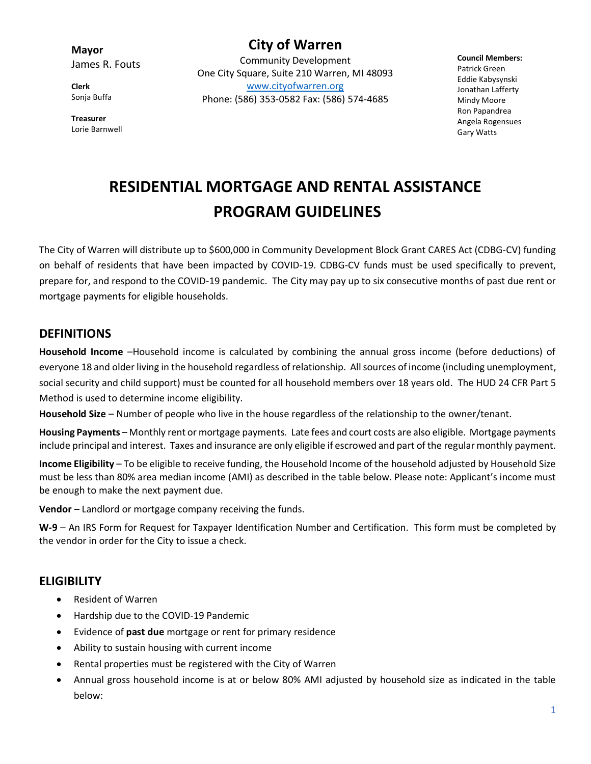**Mayor** James R. Fouts

**Clerk** Sonja Buffa

**Treasurer** Lorie Barnwell

**City of Warren** Community Development One City Square, Suite 210 Warren, MI 48093 [www.cityofwarren.org](http://www.cityofwarren.org/) Phone: (586) 353-0582 Fax: (586) 574-4685

**Council Members:** Patrick Green Eddie Kabysynski Jonathan Lafferty Mindy Moore Ron Papandrea Angela Rogensues Gary Watts

# **RESIDENTIAL MORTGAGE AND RENTAL ASSISTANCE PROGRAM GUIDELINES**

The City of Warren will distribute up to \$600,000 in Community Development Block Grant CARES Act (CDBG-CV) funding on behalf of residents that have been impacted by COVID-19. CDBG-CV funds must be used specifically to prevent, prepare for, and respond to the COVID-19 pandemic. The City may pay up to six consecutive months of past due rent or mortgage payments for eligible households.

#### **DEFINITIONS**

**Household Income** –Household income is calculated by combining the annual gross income (before deductions) of everyone 18 and older living in the household regardless of relationship. All sources of income (including unemployment, social security and child support) must be counted for all household members over 18 years old. The HUD 24 CFR Part 5 Method is used to determine income eligibility.

**Household Size** – Number of people who live in the house regardless of the relationship to the owner/tenant.

**Housing Payments** – Monthly rent or mortgage payments. Late fees and court costs are also eligible. Mortgage payments include principal and interest. Taxes and insurance are only eligible if escrowed and part of the regular monthly payment.

**Income Eligibility** – To be eligible to receive funding, the Household Income of the household adjusted by Household Size must be less than 80% area median income (AMI) as described in the table below. Please note: Applicant's income must be enough to make the next payment due.

**Vendor** – Landlord or mortgage company receiving the funds.

**W-9** – An IRS Form for Request for Taxpayer Identification Number and Certification. This form must be completed by the vendor in order for the City to issue a check.

# **ELIGIBILITY**

- Resident of Warren
- Hardship due to the COVID-19 Pandemic
- Evidence of **past due** mortgage or rent for primary residence
- Ability to sustain housing with current income
- Rental properties must be registered with the City of Warren
- Annual gross household income is at or below 80% AMI adjusted by household size as indicated in the table below: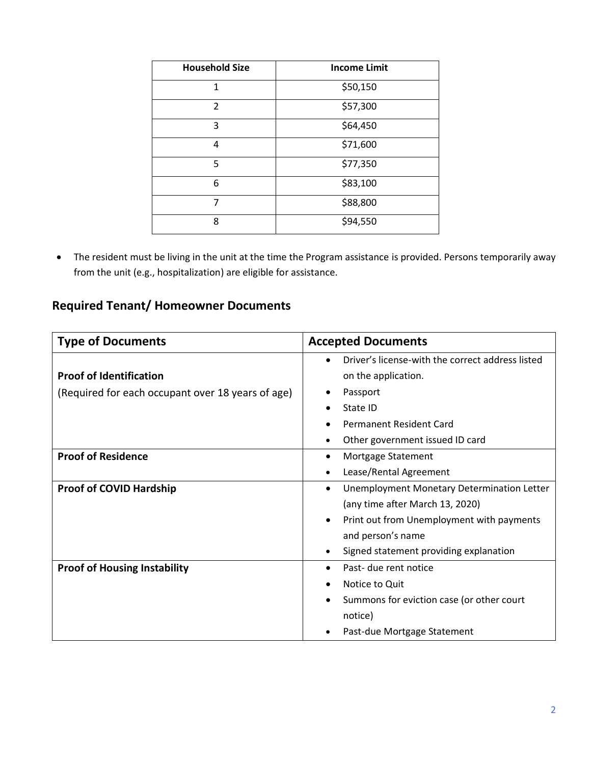| <b>Household Size</b>    | <b>Income Limit</b> |
|--------------------------|---------------------|
| 1                        | \$50,150            |
| $\overline{\mathcal{L}}$ | \$57,300            |
| 3                        | \$64,450            |
| 4                        | \$71,600            |
| 5                        | \$77,350            |
| 6                        | \$83,100            |
| 7                        | \$88,800            |
| 8                        | \$94,550            |

• The resident must be living in the unit at the time the Program assistance is provided. Persons temporarily away from the unit (e.g., hospitalization) are eligible for assistance.

# **Required Tenant/ Homeowner Documents**

| <b>Type of Documents</b>                          | <b>Accepted Documents</b>                               |
|---------------------------------------------------|---------------------------------------------------------|
|                                                   | Driver's license-with the correct address listed        |
| <b>Proof of Identification</b>                    | on the application.                                     |
| (Required for each occupant over 18 years of age) | Passport<br>٠                                           |
|                                                   | State ID                                                |
|                                                   | <b>Permanent Resident Card</b>                          |
|                                                   | Other government issued ID card                         |
| <b>Proof of Residence</b>                         | Mortgage Statement<br>$\bullet$                         |
|                                                   | Lease/Rental Agreement                                  |
| <b>Proof of COVID Hardship</b>                    | Unemployment Monetary Determination Letter<br>$\bullet$ |
|                                                   | (any time after March 13, 2020)                         |
|                                                   | Print out from Unemployment with payments<br>$\bullet$  |
|                                                   | and person's name                                       |
|                                                   | Signed statement providing explanation                  |
| <b>Proof of Housing Instability</b>               | Past- due rent notice                                   |
|                                                   | Notice to Quit                                          |
|                                                   | Summons for eviction case (or other court               |
|                                                   | notice)                                                 |
|                                                   | Past-due Mortgage Statement                             |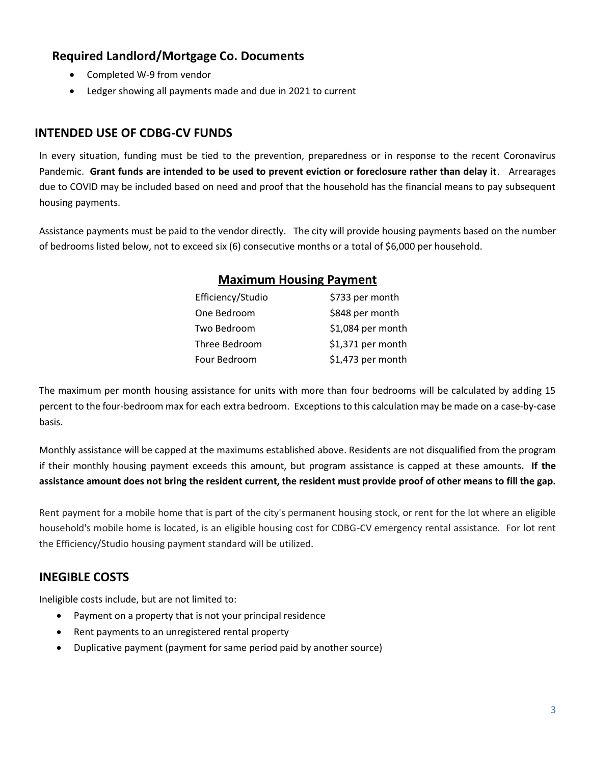### **Required Landlord/Mortgage Co. Documents**

- Completed W-9 from vendor
- Ledger showing all payments made and due in 2021 to current

#### **INTENDED USE OF CDBG-CV FUNDS**

In every situation, funding must be tied to the prevention, preparedness or in response to the recent Coronavirus Pandemic. **Grant funds are intended to be used to prevent eviction or foreclosure rather than delay it**. Arrearages due to COVID may be included based on need and proof that the household has the financial means to pay subsequent housing payments.

Assistance payments must be paid to the vendor directly. The city will provide housing payments based on the number of bedrooms listed below, not to exceed six (6) consecutive months or a total of \$6,000 per household.

| <b>Maximum Housing Payment</b> |  |
|--------------------------------|--|
| \$733 per month                |  |
| \$848 per month                |  |
|                                |  |

| Two Bedroom   | \$1,084 per month |
|---------------|-------------------|
| Three Bedroom | \$1,371 per month |
| Four Bedroom  | \$1,473 per month |
|               |                   |

The maximum per month housing assistance for units with more than four bedrooms will be calculated by adding 15 percent to the four-bedroom max for each extra bedroom. Exceptions to this calculation may be made on a case-by-case basis.

Monthly assistance will be capped at the maximums established above. Residents are not disqualified from the program if their monthly housing payment exceeds this amount, but program assistance is capped at these amounts**. If the assistance amount does not bring the resident current, the resident must provide proof of other means to fill the gap.**

Rent payment for a mobile home that is part of the city's permanent housing stock, or rent for the lot where an eligible household's mobile home is located, is an eligible housing cost for CDBG-CV emergency rental assistance. For lot rent the Efficiency/Studio housing payment standard will be utilized.

# **INEGIBLE COSTS**

Ineligible costs include, but are not limited to:

- Payment on a property that is not your principal residence
- Rent payments to an unregistered rental property
- Duplicative payment (payment for same period paid by another source)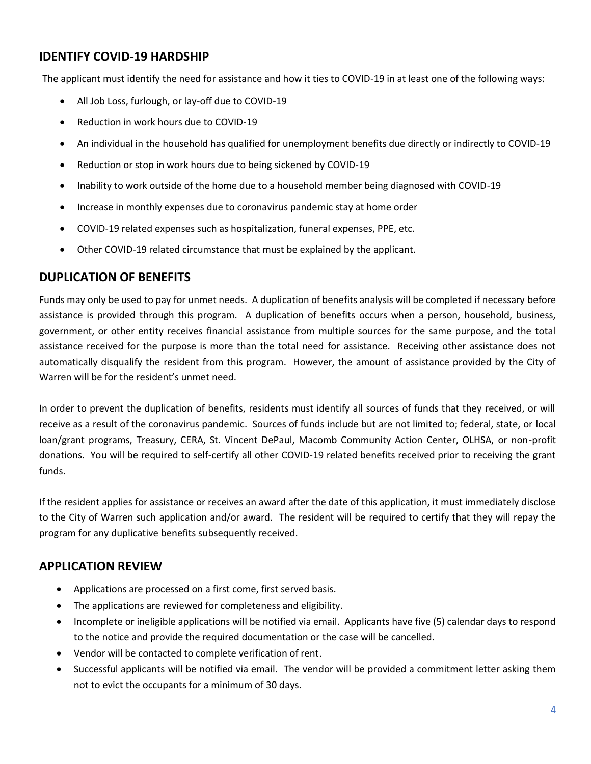#### **IDENTIFY COVID-19 HARDSHIP**

The applicant must identify the need for assistance and how it ties to COVID-19 in at least one of the following ways:

- All Job Loss, furlough, or lay-off due to COVID-19
- Reduction in work hours due to COVID-19
- An individual in the household has qualified for unemployment benefits due directly or indirectly to COVID-19
- Reduction or stop in work hours due to being sickened by COVID-19
- Inability to work outside of the home due to a household member being diagnosed with COVID-19
- Increase in monthly expenses due to coronavirus pandemic stay at home order
- COVID-19 related expenses such as hospitalization, funeral expenses, PPE, etc.
- Other COVID-19 related circumstance that must be explained by the applicant.

#### **DUPLICATION OF BENEFITS**

Funds may only be used to pay for unmet needs. A duplication of benefits analysis will be completed if necessary before assistance is provided through this program. A duplication of benefits occurs when a person, household, business, government, or other entity receives financial assistance from multiple sources for the same purpose, and the total assistance received for the purpose is more than the total need for assistance. Receiving other assistance does not automatically disqualify the resident from this program. However, the amount of assistance provided by the City of Warren will be for the resident's unmet need.

In order to prevent the duplication of benefits, residents must identify all sources of funds that they received, or will receive as a result of the coronavirus pandemic. Sources of funds include but are not limited to; federal, state, or local loan/grant programs, Treasury, CERA, St. Vincent DePaul, Macomb Community Action Center, OLHSA, or non-profit donations. You will be required to self-certify all other COVID-19 related benefits received prior to receiving the grant funds.

If the resident applies for assistance or receives an award after the date of this application, it must immediately disclose to the City of Warren such application and/or award. The resident will be required to certify that they will repay the program for any duplicative benefits subsequently received.

#### **APPLICATION REVIEW**

- Applications are processed on a first come, first served basis.
- The applications are reviewed for completeness and eligibility.
- Incomplete or ineligible applications will be notified via email. Applicants have five (5) calendar days to respond to the notice and provide the required documentation or the case will be cancelled.
- Vendor will be contacted to complete verification of rent.
- Successful applicants will be notified via email. The vendor will be provided a commitment letter asking them not to evict the occupants for a minimum of 30 days.